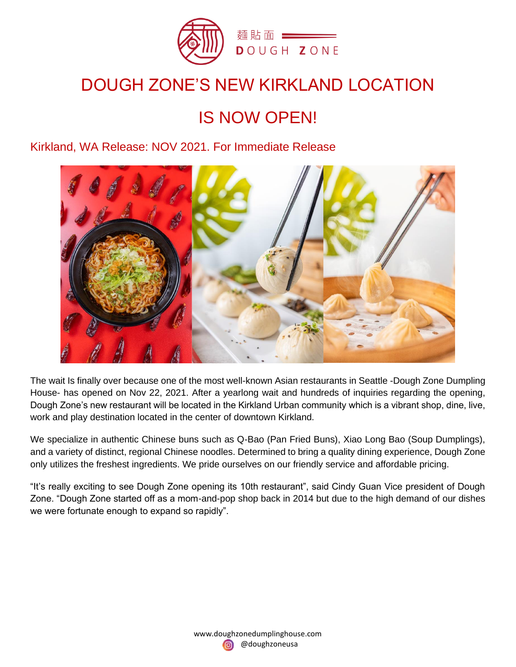

## DOUGH ZONE'S NEW KIRKLAND LOCATION

# IS NOW OPEN!

## Kirkland, WA Release: NOV 2021. For Immediate Release



The wait Is finally over because one of the most well-known Asian restaurants in Seattle -Dough Zone Dumpling House- has opened on Nov 22, 2021. After a yearlong wait and hundreds of inquiries regarding the opening, Dough Zone's new restaurant will be located in the Kirkland Urban community which is a vibrant shop, dine, live, work and play destination located in the center of downtown Kirkland.

We specialize in authentic Chinese buns such as Q-Bao (Pan Fried Buns), Xiao Long Bao (Soup Dumplings), and a variety of distinct, regional Chinese noodles. Determined to bring a quality dining experience, Dough Zone only utilizes the freshest ingredients. We pride ourselves on our friendly service and affordable pricing.

"It's really exciting to see Dough Zone opening its 10th restaurant", said Cindy Guan Vice president of Dough Zone. "Dough Zone started off as a mom-and-pop shop back in 2014 but due to the high demand of our dishes we were fortunate enough to expand so rapidly".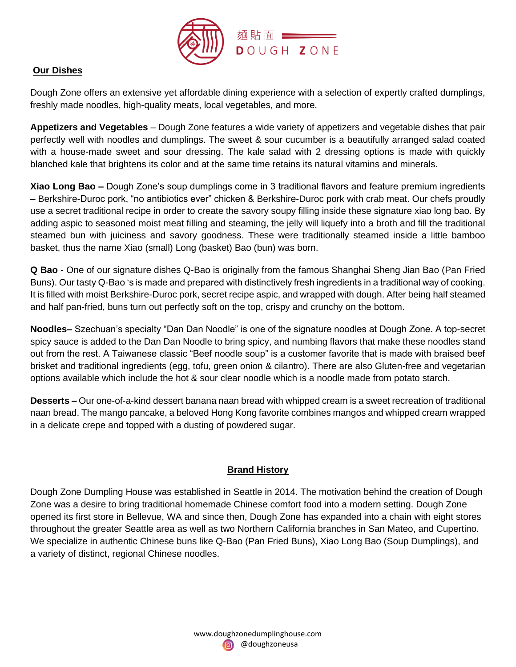

#### **Our Dishes**

Dough Zone offers an extensive yet affordable dining experience with a selection of expertly crafted dumplings, freshly made noodles, high-quality meats, local vegetables, and more.

**Appetizers and Vegetables** – Dough Zone features a wide variety of appetizers and vegetable dishes that pair perfectly well with noodles and dumplings. The sweet & sour cucumber is a beautifully arranged salad coated with a house-made sweet and sour dressing. The kale salad with 2 dressing options is made with quickly blanched kale that brightens its color and at the same time retains its natural vitamins and minerals.

**Xiao Long Bao –** Dough Zone's soup dumplings come in 3 traditional flavors and feature premium ingredients – Berkshire-Duroc pork, "no antibiotics ever" chicken & Berkshire-Duroc pork with crab meat. Our chefs proudly use a secret traditional recipe in order to create the savory soupy filling inside these signature xiao long bao. By adding aspic to seasoned moist meat filling and steaming, the jelly will liquefy into a broth and fill the traditional steamed bun with juiciness and savory goodness. These were traditionally steamed inside a little bamboo basket, thus the name Xiao (small) Long (basket) Bao (bun) was born.

**Q Bao -** One of our signature dishes Q-Bao is originally from the famous Shanghai Sheng Jian Bao (Pan Fried Buns). Our tasty Q-Bao 's is made and prepared with distinctively fresh ingredients in a traditional way of cooking. It is filled with moist Berkshire-Duroc pork, secret recipe aspic, and wrapped with dough. After being half steamed and half pan-fried, buns turn out perfectly soft on the top, crispy and crunchy on the bottom.

**Noodles–** Szechuan's specialty "Dan Dan Noodle" is one of the signature noodles at Dough Zone. A top-secret spicy sauce is added to the Dan Dan Noodle to bring spicy, and numbing flavors that make these noodles stand out from the rest. A Taiwanese classic "Beef noodle soup" is a customer favorite that is made with braised beef brisket and traditional ingredients (egg, tofu, green onion & cilantro). There are also Gluten-free and vegetarian options available which include the hot & sour clear noodle which is a noodle made from potato starch.

**Desserts –** Our one-of-a-kind dessert banana naan bread with whipped cream is a sweet recreation of traditional naan bread. The mango pancake, a beloved Hong Kong favorite combines mangos and whipped cream wrapped in a delicate crepe and topped with a dusting of powdered sugar.

### **Brand History**

Dough Zone Dumpling House was established in Seattle in 2014. The motivation behind the creation of Dough Zone was a desire to bring traditional homemade Chinese comfort food into a modern setting. Dough Zone opened its first store in Bellevue, WA and since then, Dough Zone has expanded into a chain with eight stores throughout the greater Seattle area as well as two Northern California branches in San Mateo, and Cupertino. We specialize in authentic Chinese buns like Q-Bao (Pan Fried Buns), Xiao Long Bao (Soup Dumplings), and a variety of distinct, regional Chinese noodles.